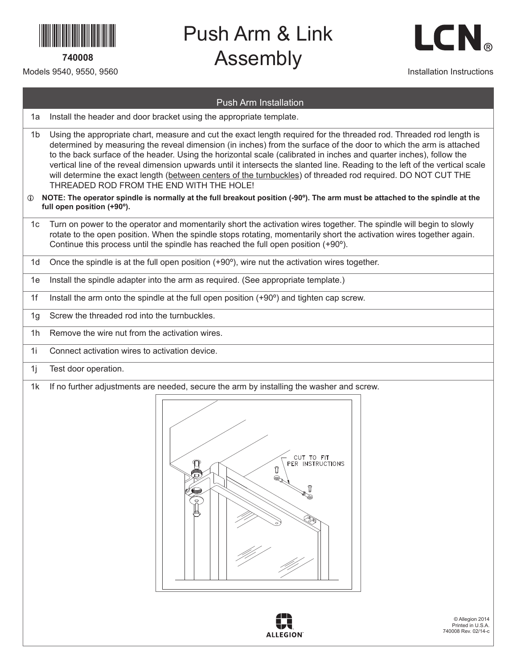

## **740008**

Models 9540, 9550, 9560

# Push Arm & Link Sh Arm & Link<br>Assembly Installation Instructions



740008 Rev. 02/14-c

|                | <b>Push Arm Installation</b>                                                                                                                                                                                                                                                                                                                                                                                                                                                                                                                                                                                                                                                                                                                                                                                                |
|----------------|-----------------------------------------------------------------------------------------------------------------------------------------------------------------------------------------------------------------------------------------------------------------------------------------------------------------------------------------------------------------------------------------------------------------------------------------------------------------------------------------------------------------------------------------------------------------------------------------------------------------------------------------------------------------------------------------------------------------------------------------------------------------------------------------------------------------------------|
| 1a             | Install the header and door bracket using the appropriate template.                                                                                                                                                                                                                                                                                                                                                                                                                                                                                                                                                                                                                                                                                                                                                         |
| 1b<br>$\circ$  | Using the appropriate chart, measure and cut the exact length required for the threaded rod. Threaded rod length is<br>determined by measuring the reveal dimension (in inches) from the surface of the door to which the arm is attached<br>to the back surface of the header. Using the horizontal scale (calibrated in inches and quarter inches), follow the<br>vertical line of the reveal dimension upwards until it intersects the slanted line. Reading to the left of the vertical scale<br>will determine the exact length (between centers of the turnbuckles) of threaded rod required. DO NOT CUT THE<br>THREADED ROD FROM THE END WITH THE HOLE!<br>NOTE: The operator spindle is normally at the full breakout position (-90°). The arm must be attached to the spindle at the<br>full open position (+90°). |
|                |                                                                                                                                                                                                                                                                                                                                                                                                                                                                                                                                                                                                                                                                                                                                                                                                                             |
| 1c             | Turn on power to the operator and momentarily short the activation wires together. The spindle will begin to slowly<br>rotate to the open position. When the spindle stops rotating, momentarily short the activation wires together again.<br>Continue this process until the spindle has reached the full open position (+90°).                                                                                                                                                                                                                                                                                                                                                                                                                                                                                           |
| 1 <sub>d</sub> | Once the spindle is at the full open position (+90°), wire nut the activation wires together.                                                                                                                                                                                                                                                                                                                                                                                                                                                                                                                                                                                                                                                                                                                               |
| 1e             | Install the spindle adapter into the arm as required. (See appropriate template.)                                                                                                                                                                                                                                                                                                                                                                                                                                                                                                                                                                                                                                                                                                                                           |
| 1f             | Install the arm onto the spindle at the full open position (+90°) and tighten cap screw.                                                                                                                                                                                                                                                                                                                                                                                                                                                                                                                                                                                                                                                                                                                                    |
| 1g             | Screw the threaded rod into the turnbuckles.                                                                                                                                                                                                                                                                                                                                                                                                                                                                                                                                                                                                                                                                                                                                                                                |
| 1 <sub>h</sub> | Remove the wire nut from the activation wires.                                                                                                                                                                                                                                                                                                                                                                                                                                                                                                                                                                                                                                                                                                                                                                              |
| 1i             | Connect activation wires to activation device.                                                                                                                                                                                                                                                                                                                                                                                                                                                                                                                                                                                                                                                                                                                                                                              |
| 1j             | Test door operation.                                                                                                                                                                                                                                                                                                                                                                                                                                                                                                                                                                                                                                                                                                                                                                                                        |
| 1k             | If no further adjustments are needed, secure the arm by installing the washer and screw.<br>PER INSTRUCTIONS<br>⇑<br>$\mathbb{Q}^+$<br>© Allegion 2014                                                                                                                                                                                                                                                                                                                                                                                                                                                                                                                                                                                                                                                                      |

**ALLEGION**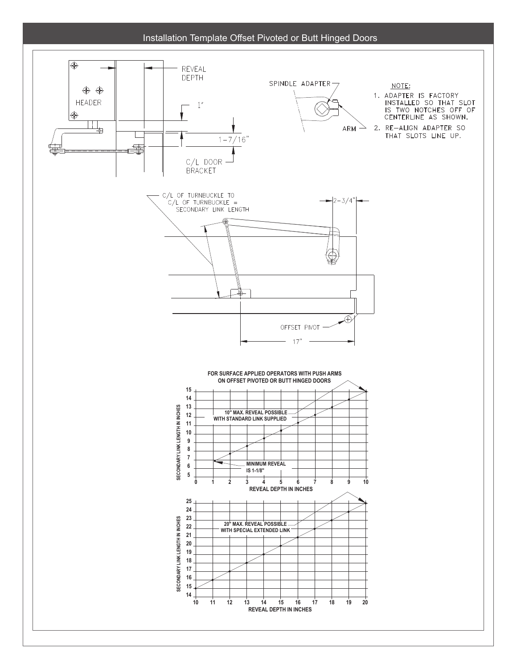## Installation Template Offset Pivoted or Butt Hinged Doors

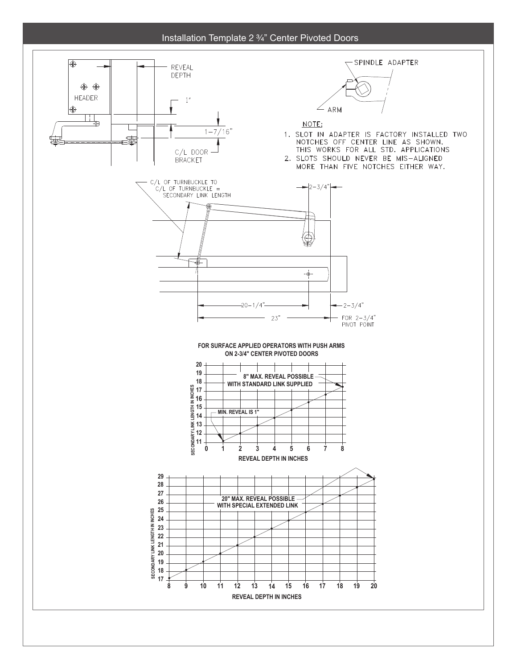## Installation Template 2 3/4" Center Pivoted Doors